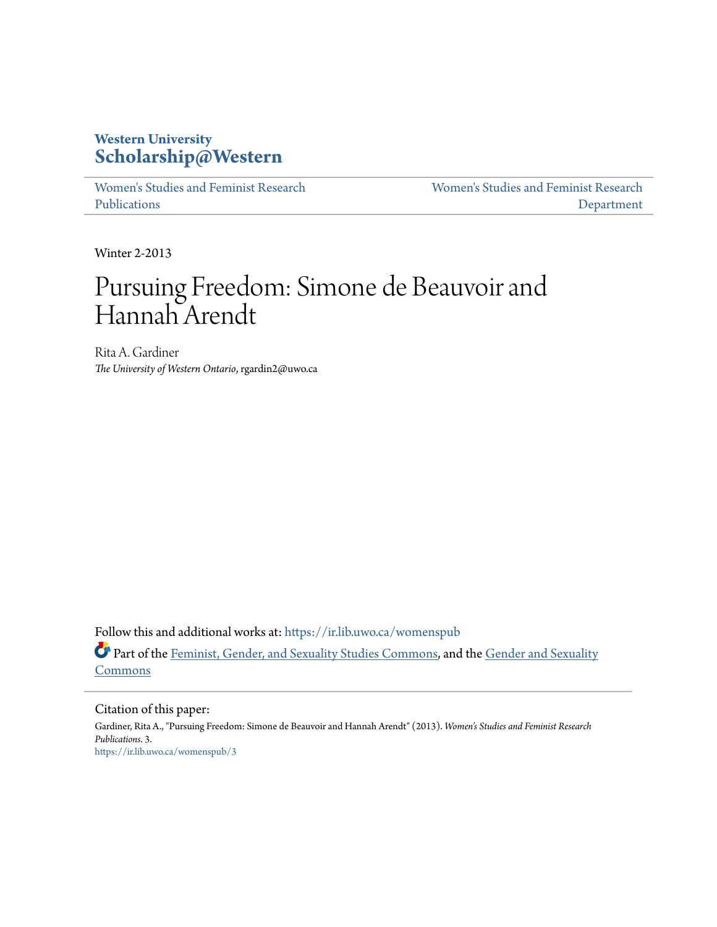## **Western University [Scholarship@Western](https://ir.lib.uwo.ca?utm_source=ir.lib.uwo.ca%2Fwomenspub%2F3&utm_medium=PDF&utm_campaign=PDFCoverPages)**

[Women's Studies and Feminist Research](https://ir.lib.uwo.ca/womenspub?utm_source=ir.lib.uwo.ca%2Fwomenspub%2F3&utm_medium=PDF&utm_campaign=PDFCoverPages) [Publications](https://ir.lib.uwo.ca/womenspub?utm_source=ir.lib.uwo.ca%2Fwomenspub%2F3&utm_medium=PDF&utm_campaign=PDFCoverPages)

[Women's Studies and Feminist Research](https://ir.lib.uwo.ca/womens?utm_source=ir.lib.uwo.ca%2Fwomenspub%2F3&utm_medium=PDF&utm_campaign=PDFCoverPages) [Department](https://ir.lib.uwo.ca/womens?utm_source=ir.lib.uwo.ca%2Fwomenspub%2F3&utm_medium=PDF&utm_campaign=PDFCoverPages)

Winter 2-2013

# Pursuing Freedom: Simone de Beauvoir and Hannah Arendt

Rita A. Gardiner *The University of Western Ontario*, rgardin2@uwo.ca

Follow this and additional works at: [https://ir.lib.uwo.ca/womenspub](https://ir.lib.uwo.ca/womenspub?utm_source=ir.lib.uwo.ca%2Fwomenspub%2F3&utm_medium=PDF&utm_campaign=PDFCoverPages) Part of the [Feminist, Gender, and Sexuality Studies Commons,](http://network.bepress.com/hgg/discipline/559?utm_source=ir.lib.uwo.ca%2Fwomenspub%2F3&utm_medium=PDF&utm_campaign=PDFCoverPages) and the [Gender and Sexuality](http://network.bepress.com/hgg/discipline/420?utm_source=ir.lib.uwo.ca%2Fwomenspub%2F3&utm_medium=PDF&utm_campaign=PDFCoverPages) **[Commons](http://network.bepress.com/hgg/discipline/420?utm_source=ir.lib.uwo.ca%2Fwomenspub%2F3&utm_medium=PDF&utm_campaign=PDFCoverPages)** 

Citation of this paper:

Gardiner, Rita A., "Pursuing Freedom: Simone de Beauvoir and Hannah Arendt" (2013). *Women's Studies and Feminist Research Publications*. 3. [https://ir.lib.uwo.ca/womenspub/3](https://ir.lib.uwo.ca/womenspub/3?utm_source=ir.lib.uwo.ca%2Fwomenspub%2F3&utm_medium=PDF&utm_campaign=PDFCoverPages)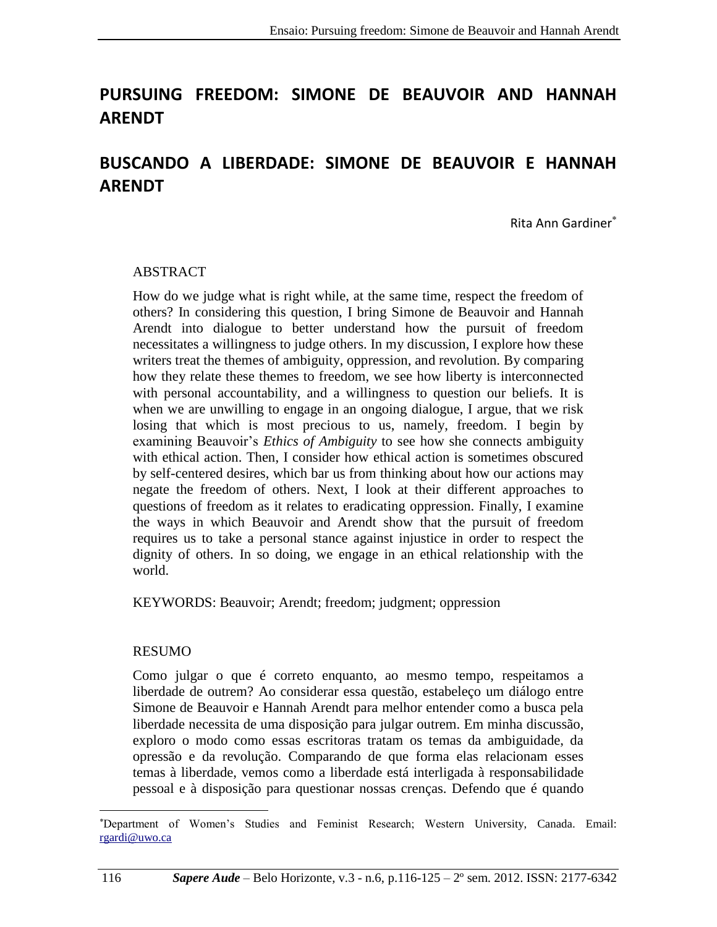# **PURSUING FREEDOM: SIMONE DE BEAUVOIR AND HANNAH ARENDT**

## **BUSCANDO A LIBERDADE: SIMONE DE BEAUVOIR E HANNAH ARENDT**

Rita Ann Gardiner

#### ABSTRACT

How do we judge what is right while, at the same time, respect the freedom of others? In considering this question, I bring Simone de Beauvoir and Hannah Arendt into dialogue to better understand how the pursuit of freedom necessitates a willingness to judge others. In my discussion, I explore how these writers treat the themes of ambiguity, oppression, and revolution. By comparing how they relate these themes to freedom, we see how liberty is interconnected with personal accountability, and a willingness to question our beliefs. It is when we are unwilling to engage in an ongoing dialogue, I argue, that we risk losing that which is most precious to us, namely, freedom. I begin by examining Beauvoir's *Ethics of Ambiguity* to see how she connects ambiguity with ethical action. Then, I consider how ethical action is sometimes obscured by self-centered desires, which bar us from thinking about how our actions may negate the freedom of others. Next, I look at their different approaches to questions of freedom as it relates to eradicating oppression. Finally, I examine the ways in which Beauvoir and Arendt show that the pursuit of freedom requires us to take a personal stance against injustice in order to respect the dignity of others. In so doing, we engage in an ethical relationship with the world.

KEYWORDS: Beauvoir; Arendt; freedom; judgment; oppression

#### RESUMO

Como julgar o que é correto enquanto, ao mesmo tempo, respeitamos a liberdade de outrem? Ao considerar essa questão, estabeleço um diálogo entre Simone de Beauvoir e Hannah Arendt para melhor entender como a busca pela liberdade necessita de uma disposição para julgar outrem. Em minha discussão, exploro o modo como essas escritoras tratam os temas da ambiguidade, da opressão e da revolução. Comparando de que forma elas relacionam esses temas à liberdade, vemos como a liberdade está interligada à responsabilidade pessoal e à disposição para questionar nossas crenças. Defendo que é quando

l

<sup>\*</sup>Department of Women's Studies and Feminist Research; Western University, Canada. Email: [rgardi@uwo.ca](mailto:rgardi@uwo.ca)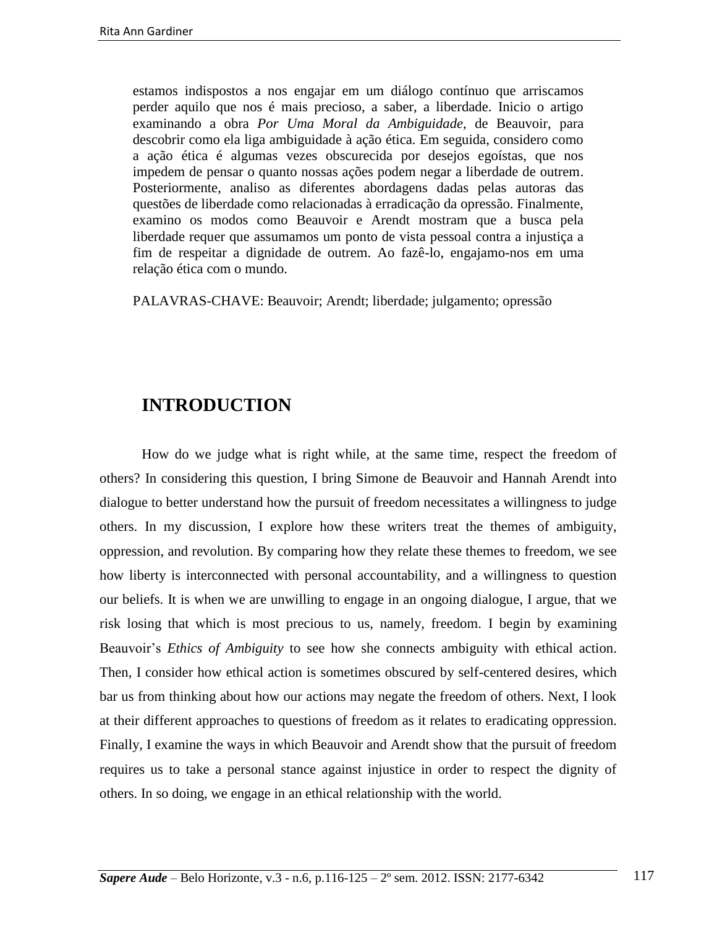estamos indispostos a nos engajar em um diálogo contínuo que arriscamos perder aquilo que nos é mais precioso, a saber, a liberdade. Inicio o artigo examinando a obra *Por Uma Moral da Ambiguidade*, de Beauvoir, para descobrir como ela liga ambiguidade à ação ética. Em seguida, considero como a ação ética é algumas vezes obscurecida por desejos egoístas, que nos impedem de pensar o quanto nossas ações podem negar a liberdade de outrem. Posteriormente, analiso as diferentes abordagens dadas pelas autoras das questões de liberdade como relacionadas à erradicação da opressão. Finalmente, examino os modos como Beauvoir e Arendt mostram que a busca pela liberdade requer que assumamos um ponto de vista pessoal contra a injustiça a fim de respeitar a dignidade de outrem. Ao fazê-lo, engajamo-nos em uma relação ética com o mundo.

PALAVRAS-CHAVE: Beauvoir; Arendt; liberdade; julgamento; opressão

#### **INTRODUCTION**

How do we judge what is right while, at the same time, respect the freedom of others? In considering this question, I bring Simone de Beauvoir and Hannah Arendt into dialogue to better understand how the pursuit of freedom necessitates a willingness to judge others. In my discussion, I explore how these writers treat the themes of ambiguity, oppression, and revolution. By comparing how they relate these themes to freedom, we see how liberty is interconnected with personal accountability, and a willingness to question our beliefs. It is when we are unwilling to engage in an ongoing dialogue, I argue, that we risk losing that which is most precious to us, namely, freedom. I begin by examining Beauvoir's *Ethics of Ambiguity* to see how she connects ambiguity with ethical action. Then, I consider how ethical action is sometimes obscured by self-centered desires, which bar us from thinking about how our actions may negate the freedom of others. Next, I look at their different approaches to questions of freedom as it relates to eradicating oppression. Finally, I examine the ways in which Beauvoir and Arendt show that the pursuit of freedom requires us to take a personal stance against injustice in order to respect the dignity of others. In so doing, we engage in an ethical relationship with the world.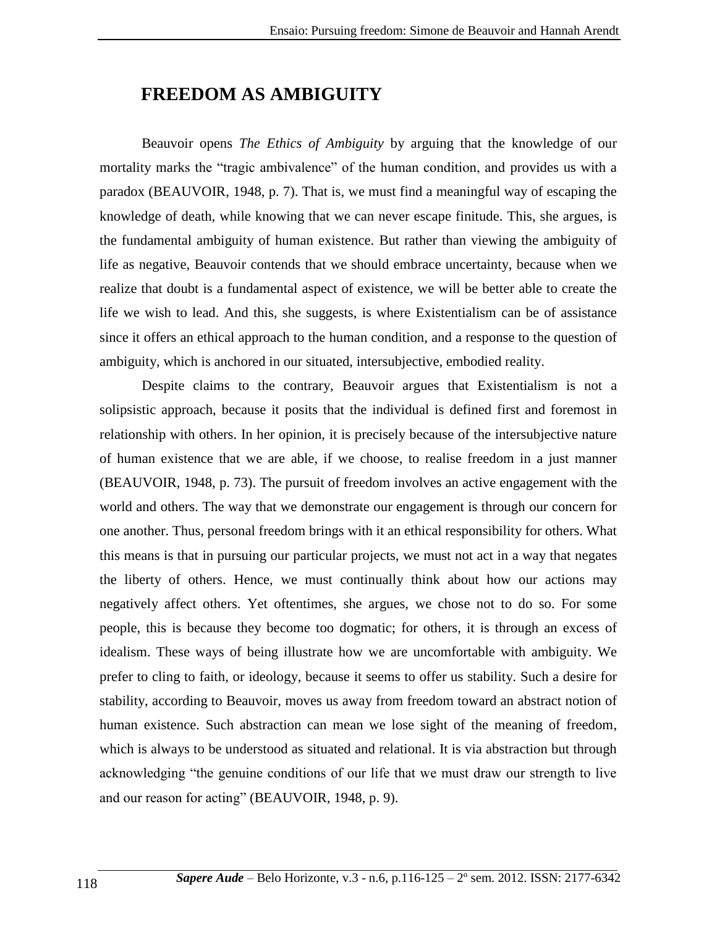### **FREEDOM AS AMBIGUITY**

Beauvoir opens *The Ethics of Ambiguity* by arguing that the knowledge of our mortality marks the "tragic ambivalence" of the human condition, and provides us with a paradox (BEAUVOIR, 1948, p. 7). That is, we must find a meaningful way of escaping the knowledge of death, while knowing that we can never escape finitude. This, she argues, is the fundamental ambiguity of human existence. But rather than viewing the ambiguity of life as negative, Beauvoir contends that we should embrace uncertainty, because when we realize that doubt is a fundamental aspect of existence, we will be better able to create the life we wish to lead. And this, she suggests, is where Existentialism can be of assistance since it offers an ethical approach to the human condition, and a response to the question of ambiguity, which is anchored in our situated, intersubjective, embodied reality.

Despite claims to the contrary, Beauvoir argues that Existentialism is not a solipsistic approach, because it posits that the individual is defined first and foremost in relationship with others. In her opinion, it is precisely because of the intersubjective nature of human existence that we are able, if we choose, to realise freedom in a just manner (BEAUVOIR, 1948, p. 73). The pursuit of freedom involves an active engagement with the world and others. The way that we demonstrate our engagement is through our concern for one another. Thus, personal freedom brings with it an ethical responsibility for others. What this means is that in pursuing our particular projects, we must not act in a way that negates the liberty of others. Hence, we must continually think about how our actions may negatively affect others. Yet oftentimes, she argues, we chose not to do so. For some people, this is because they become too dogmatic; for others, it is through an excess of idealism. These ways of being illustrate how we are uncomfortable with ambiguity. We prefer to cling to faith, or ideology, because it seems to offer us stability. Such a desire for stability, according to Beauvoir, moves us away from freedom toward an abstract notion of human existence. Such abstraction can mean we lose sight of the meaning of freedom, which is always to be understood as situated and relational. It is via abstraction but through acknowledging "the genuine conditions of our life that we must draw our strength to live and our reason for acting" (BEAUVOIR, 1948, p. 9).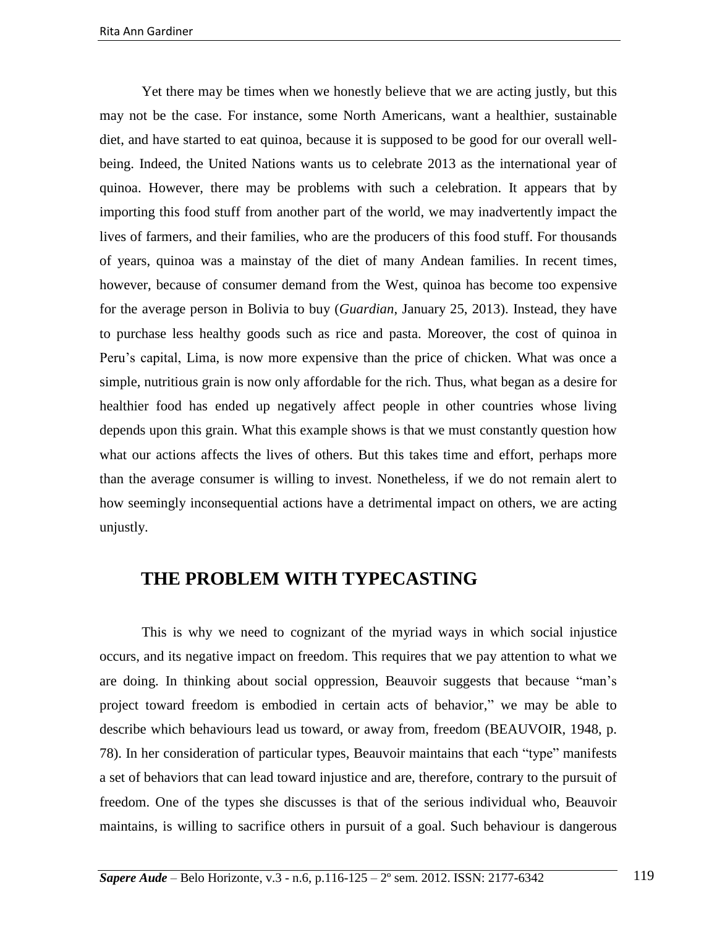Yet there may be times when we honestly believe that we are acting justly, but this may not be the case. For instance, some North Americans, want a healthier, sustainable diet, and have started to eat quinoa, because it is supposed to be good for our overall wellbeing. Indeed, the United Nations wants us to celebrate 2013 as the international year of quinoa. However, there may be problems with such a celebration. It appears that by importing this food stuff from another part of the world, we may inadvertently impact the lives of farmers, and their families, who are the producers of this food stuff. For thousands of years, quinoa was a mainstay of the diet of many Andean families. In recent times, however, because of consumer demand from the West, quinoa has become too expensive for the average person in Bolivia to buy (*Guardian*, January 25, 2013). Instead, they have to purchase less healthy goods such as rice and pasta. Moreover, the cost of quinoa in Peru's capital, Lima, is now more expensive than the price of chicken. What was once a simple, nutritious grain is now only affordable for the rich. Thus, what began as a desire for healthier food has ended up negatively affect people in other countries whose living depends upon this grain. What this example shows is that we must constantly question how what our actions affects the lives of others. But this takes time and effort, perhaps more than the average consumer is willing to invest. Nonetheless, if we do not remain alert to how seemingly inconsequential actions have a detrimental impact on others, we are acting unjustly.

#### **THE PROBLEM WITH TYPECASTING**

This is why we need to cognizant of the myriad ways in which social injustice occurs, and its negative impact on freedom. This requires that we pay attention to what we are doing. In thinking about social oppression, Beauvoir suggests that because "man's project toward freedom is embodied in certain acts of behavior," we may be able to describe which behaviours lead us toward, or away from, freedom (BEAUVOIR, 1948, p. 78). In her consideration of particular types, Beauvoir maintains that each "type" manifests a set of behaviors that can lead toward injustice and are, therefore, contrary to the pursuit of freedom. One of the types she discusses is that of the serious individual who, Beauvoir maintains, is willing to sacrifice others in pursuit of a goal. Such behaviour is dangerous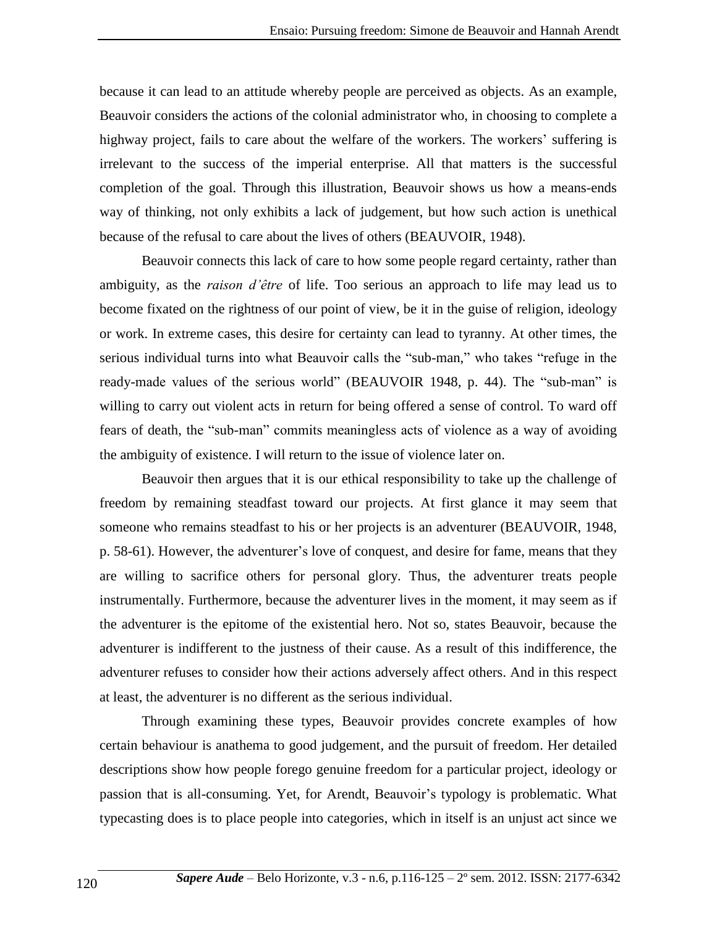because it can lead to an attitude whereby people are perceived as objects. As an example, Beauvoir considers the actions of the colonial administrator who, in choosing to complete a highway project, fails to care about the welfare of the workers. The workers' suffering is irrelevant to the success of the imperial enterprise. All that matters is the successful completion of the goal. Through this illustration, Beauvoir shows us how a means-ends way of thinking, not only exhibits a lack of judgement, but how such action is unethical because of the refusal to care about the lives of others (BEAUVOIR, 1948).

Beauvoir connects this lack of care to how some people regard certainty, rather than ambiguity, as the *raison d'être* of life. Too serious an approach to life may lead us to become fixated on the rightness of our point of view, be it in the guise of religion, ideology or work. In extreme cases, this desire for certainty can lead to tyranny. At other times, the serious individual turns into what Beauvoir calls the "sub-man," who takes "refuge in the ready-made values of the serious world" (BEAUVOIR 1948, p. 44). The "sub-man" is willing to carry out violent acts in return for being offered a sense of control. To ward off fears of death, the "sub-man" commits meaningless acts of violence as a way of avoiding the ambiguity of existence. I will return to the issue of violence later on.

Beauvoir then argues that it is our ethical responsibility to take up the challenge of freedom by remaining steadfast toward our projects. At first glance it may seem that someone who remains steadfast to his or her projects is an adventurer (BEAUVOIR, 1948, p. 58-61). However, the adventurer's love of conquest, and desire for fame, means that they are willing to sacrifice others for personal glory. Thus, the adventurer treats people instrumentally. Furthermore, because the adventurer lives in the moment, it may seem as if the adventurer is the epitome of the existential hero. Not so, states Beauvoir, because the adventurer is indifferent to the justness of their cause. As a result of this indifference, the adventurer refuses to consider how their actions adversely affect others. And in this respect at least, the adventurer is no different as the serious individual.

Through examining these types, Beauvoir provides concrete examples of how certain behaviour is anathema to good judgement, and the pursuit of freedom. Her detailed descriptions show how people forego genuine freedom for a particular project, ideology or passion that is all-consuming. Yet, for Arendt, Beauvoir's typology is problematic. What typecasting does is to place people into categories, which in itself is an unjust act since we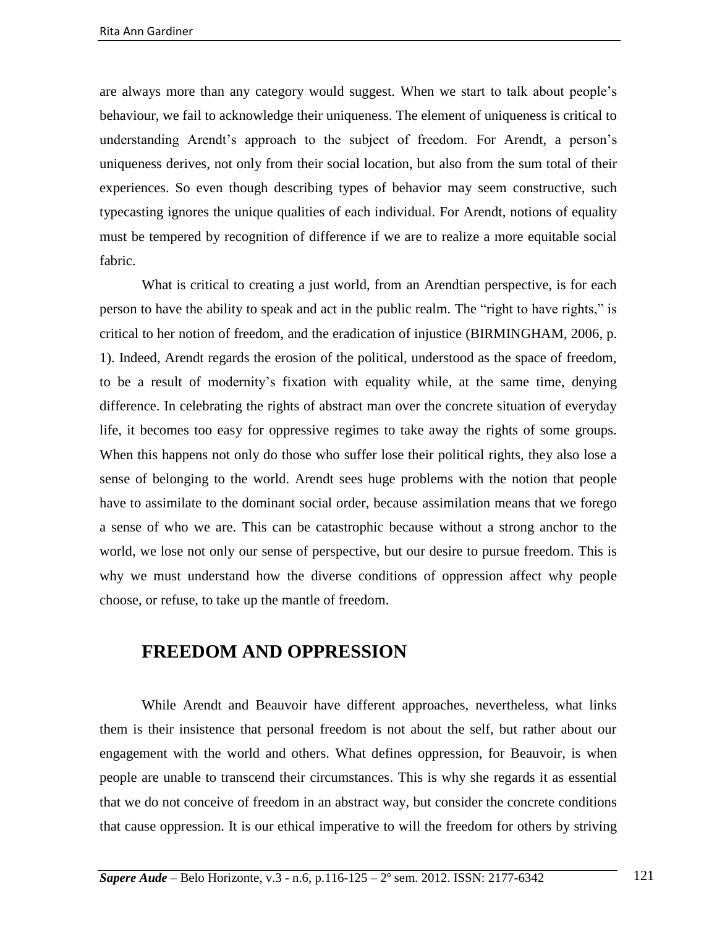are always more than any category would suggest. When we start to talk about people's behaviour, we fail to acknowledge their uniqueness. The element of uniqueness is critical to understanding Arendt's approach to the subject of freedom. For Arendt, a person's uniqueness derives, not only from their social location, but also from the sum total of their experiences. So even though describing types of behavior may seem constructive, such typecasting ignores the unique qualities of each individual. For Arendt, notions of equality must be tempered by recognition of difference if we are to realize a more equitable social fabric.

What is critical to creating a just world, from an Arendtian perspective, is for each person to have the ability to speak and act in the public realm. The "right to have rights," is critical to her notion of freedom, and the eradication of injustice (BIRMINGHAM, 2006, p. 1). Indeed, Arendt regards the erosion of the political, understood as the space of freedom, to be a result of modernity's fixation with equality while, at the same time, denying difference. In celebrating the rights of abstract man over the concrete situation of everyday life, it becomes too easy for oppressive regimes to take away the rights of some groups. When this happens not only do those who suffer lose their political rights, they also lose a sense of belonging to the world. Arendt sees huge problems with the notion that people have to assimilate to the dominant social order, because assimilation means that we forego a sense of who we are. This can be catastrophic because without a strong anchor to the world, we lose not only our sense of perspective, but our desire to pursue freedom. This is why we must understand how the diverse conditions of oppression affect why people choose, or refuse, to take up the mantle of freedom.

### **FREEDOM AND OPPRESSION**

While Arendt and Beauvoir have different approaches, nevertheless, what links them is their insistence that personal freedom is not about the self, but rather about our engagement with the world and others. What defines oppression, for Beauvoir, is when people are unable to transcend their circumstances. This is why she regards it as essential that we do not conceive of freedom in an abstract way, but consider the concrete conditions that cause oppression. It is our ethical imperative to will the freedom for others by striving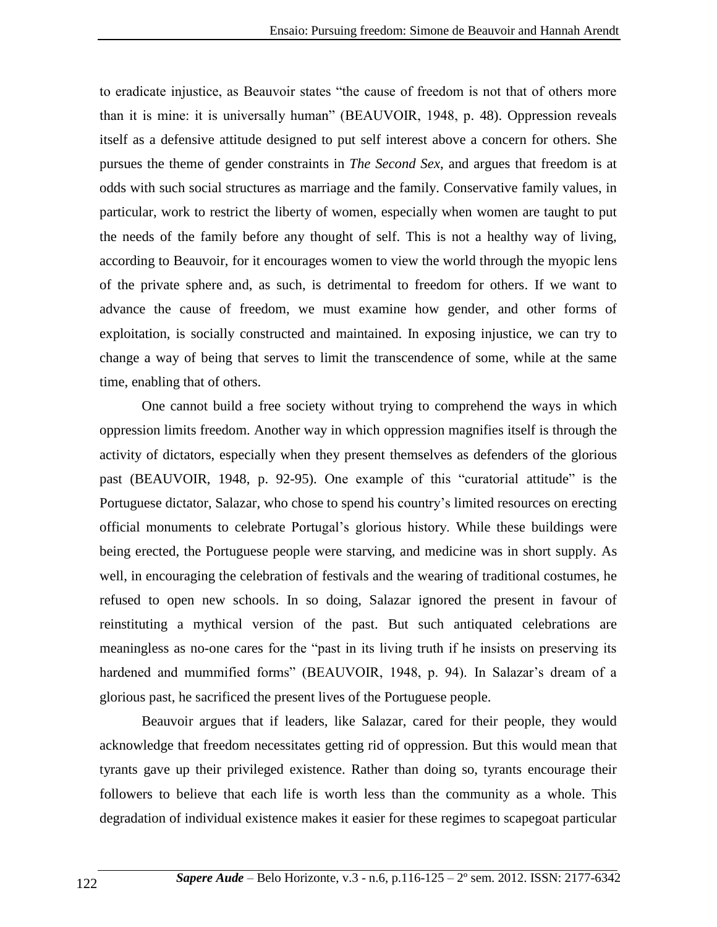to eradicate injustice, as Beauvoir states "the cause of freedom is not that of others more than it is mine: it is universally human" (BEAUVOIR, 1948, p. 48). Oppression reveals itself as a defensive attitude designed to put self interest above a concern for others. She pursues the theme of gender constraints in *The Second Sex*, and argues that freedom is at odds with such social structures as marriage and the family. Conservative family values, in particular, work to restrict the liberty of women, especially when women are taught to put the needs of the family before any thought of self. This is not a healthy way of living, according to Beauvoir, for it encourages women to view the world through the myopic lens of the private sphere and, as such, is detrimental to freedom for others. If we want to advance the cause of freedom, we must examine how gender, and other forms of exploitation, is socially constructed and maintained. In exposing injustice, we can try to change a way of being that serves to limit the transcendence of some, while at the same time, enabling that of others.

One cannot build a free society without trying to comprehend the ways in which oppression limits freedom. Another way in which oppression magnifies itself is through the activity of dictators, especially when they present themselves as defenders of the glorious past (BEAUVOIR, 1948, p. 92-95). One example of this "curatorial attitude" is the Portuguese dictator, Salazar, who chose to spend his country's limited resources on erecting official monuments to celebrate Portugal's glorious history. While these buildings were being erected, the Portuguese people were starving, and medicine was in short supply. As well, in encouraging the celebration of festivals and the wearing of traditional costumes, he refused to open new schools. In so doing, Salazar ignored the present in favour of reinstituting a mythical version of the past. But such antiquated celebrations are meaningless as no-one cares for the "past in its living truth if he insists on preserving its hardened and mummified forms" (BEAUVOIR, 1948, p. 94). In Salazar's dream of a glorious past, he sacrificed the present lives of the Portuguese people.

Beauvoir argues that if leaders, like Salazar, cared for their people, they would acknowledge that freedom necessitates getting rid of oppression. But this would mean that tyrants gave up their privileged existence. Rather than doing so, tyrants encourage their followers to believe that each life is worth less than the community as a whole. This degradation of individual existence makes it easier for these regimes to scapegoat particular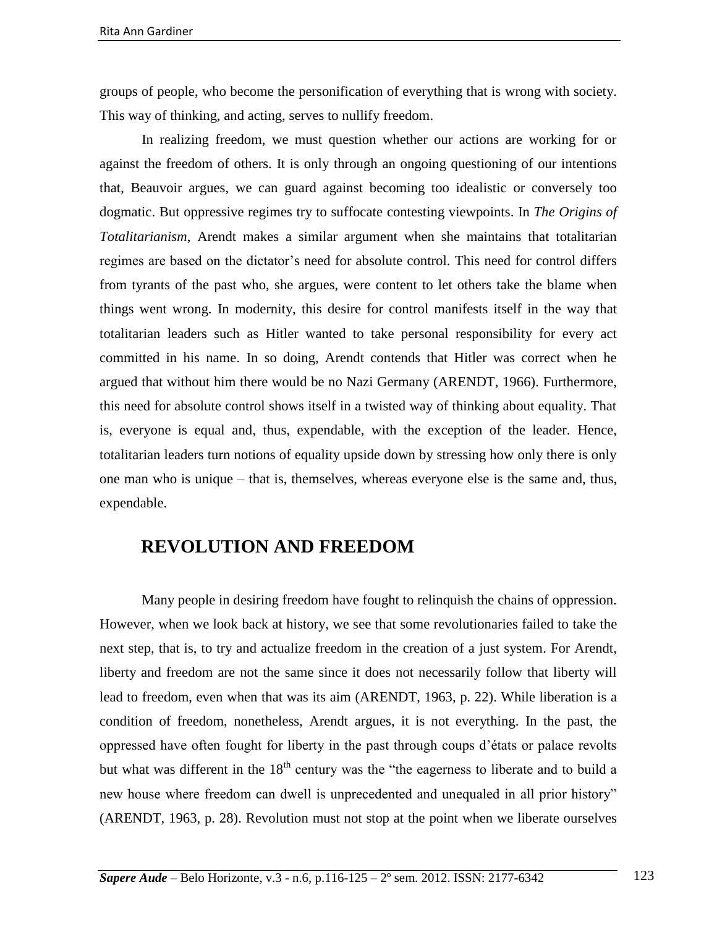groups of people, who become the personification of everything that is wrong with society. This way of thinking, and acting, serves to nullify freedom.

In realizing freedom, we must question whether our actions are working for or against the freedom of others. It is only through an ongoing questioning of our intentions that, Beauvoir argues, we can guard against becoming too idealistic or conversely too dogmatic. But oppressive regimes try to suffocate contesting viewpoints. In *The Origins of Totalitarianism*, Arendt makes a similar argument when she maintains that totalitarian regimes are based on the dictator's need for absolute control. This need for control differs from tyrants of the past who, she argues, were content to let others take the blame when things went wrong. In modernity, this desire for control manifests itself in the way that totalitarian leaders such as Hitler wanted to take personal responsibility for every act committed in his name. In so doing, Arendt contends that Hitler was correct when he argued that without him there would be no Nazi Germany (ARENDT, 1966). Furthermore, this need for absolute control shows itself in a twisted way of thinking about equality. That is, everyone is equal and, thus, expendable, with the exception of the leader. Hence, totalitarian leaders turn notions of equality upside down by stressing how only there is only one man who is unique – that is, themselves, whereas everyone else is the same and, thus, expendable.

#### **REVOLUTION AND FREEDOM**

Many people in desiring freedom have fought to relinquish the chains of oppression. However, when we look back at history, we see that some revolutionaries failed to take the next step, that is, to try and actualize freedom in the creation of a just system. For Arendt, liberty and freedom are not the same since it does not necessarily follow that liberty will lead to freedom, even when that was its aim (ARENDT, 1963, p. 22). While liberation is a condition of freedom, nonetheless, Arendt argues, it is not everything. In the past, the oppressed have often fought for liberty in the past through coups d'états or palace revolts but what was different in the  $18<sup>th</sup>$  century was the "the eagerness to liberate and to build a new house where freedom can dwell is unprecedented and unequaled in all prior history" (ARENDT, 1963, p. 28). Revolution must not stop at the point when we liberate ourselves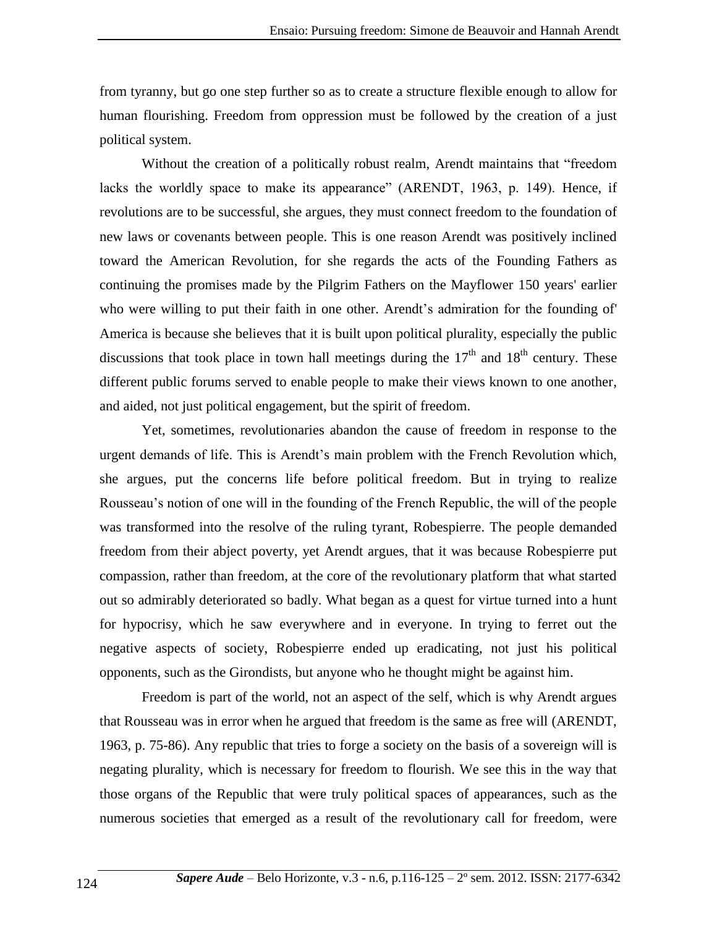from tyranny, but go one step further so as to create a structure flexible enough to allow for human flourishing. Freedom from oppression must be followed by the creation of a just political system.

Without the creation of a politically robust realm, Arendt maintains that "freedom lacks the worldly space to make its appearance" (ARENDT, 1963, p. 149). Hence, if revolutions are to be successful, she argues, they must connect freedom to the foundation of new laws or covenants between people. This is one reason Arendt was positively inclined toward the American Revolution, for she regards the acts of the Founding Fathers as continuing the promises made by the Pilgrim Fathers on the Mayflower 150 years' earlier who were willing to put their faith in one other. Arendt's admiration for the founding of' America is because she believes that it is built upon political plurality, especially the public discussions that took place in town hall meetings during the  $17<sup>th</sup>$  and  $18<sup>th</sup>$  century. These different public forums served to enable people to make their views known to one another, and aided, not just political engagement, but the spirit of freedom.

Yet, sometimes, revolutionaries abandon the cause of freedom in response to the urgent demands of life. This is Arendt's main problem with the French Revolution which, she argues, put the concerns life before political freedom. But in trying to realize Rousseau's notion of one will in the founding of the French Republic, the will of the people was transformed into the resolve of the ruling tyrant, Robespierre. The people demanded freedom from their abject poverty, yet Arendt argues, that it was because Robespierre put compassion, rather than freedom, at the core of the revolutionary platform that what started out so admirably deteriorated so badly. What began as a quest for virtue turned into a hunt for hypocrisy, which he saw everywhere and in everyone. In trying to ferret out the negative aspects of society, Robespierre ended up eradicating, not just his political opponents, such as the Girondists, but anyone who he thought might be against him.

Freedom is part of the world, not an aspect of the self, which is why Arendt argues that Rousseau was in error when he argued that freedom is the same as free will (ARENDT, 1963, p. 75-86). Any republic that tries to forge a society on the basis of a sovereign will is negating plurality, which is necessary for freedom to flourish. We see this in the way that those organs of the Republic that were truly political spaces of appearances, such as the numerous societies that emerged as a result of the revolutionary call for freedom, were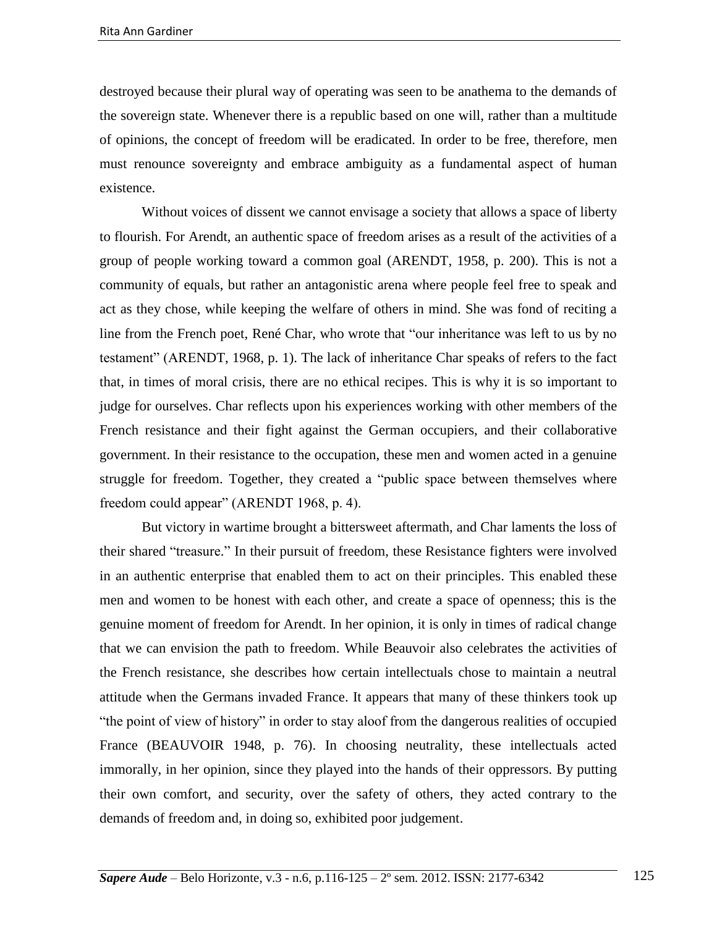destroyed because their plural way of operating was seen to be anathema to the demands of the sovereign state. Whenever there is a republic based on one will, rather than a multitude of opinions, the concept of freedom will be eradicated. In order to be free, therefore, men must renounce sovereignty and embrace ambiguity as a fundamental aspect of human existence.

Without voices of dissent we cannot envisage a society that allows a space of liberty to flourish. For Arendt, an authentic space of freedom arises as a result of the activities of a group of people working toward a common goal (ARENDT, 1958, p. 200). This is not a community of equals, but rather an antagonistic arena where people feel free to speak and act as they chose, while keeping the welfare of others in mind. She was fond of reciting a line from the French poet, René Char, who wrote that "our inheritance was left to us by no testament" (ARENDT, 1968, p. 1). The lack of inheritance Char speaks of refers to the fact that, in times of moral crisis, there are no ethical recipes. This is why it is so important to judge for ourselves. Char reflects upon his experiences working with other members of the French resistance and their fight against the German occupiers, and their collaborative government. In their resistance to the occupation, these men and women acted in a genuine struggle for freedom. Together, they created a "public space between themselves where freedom could appear" (ARENDT 1968, p. 4).

But victory in wartime brought a bittersweet aftermath, and Char laments the loss of their shared "treasure." In their pursuit of freedom, these Resistance fighters were involved in an authentic enterprise that enabled them to act on their principles. This enabled these men and women to be honest with each other, and create a space of openness; this is the genuine moment of freedom for Arendt. In her opinion, it is only in times of radical change that we can envision the path to freedom. While Beauvoir also celebrates the activities of the French resistance, she describes how certain intellectuals chose to maintain a neutral attitude when the Germans invaded France. It appears that many of these thinkers took up "the point of view of history" in order to stay aloof from the dangerous realities of occupied France (BEAUVOIR 1948, p. 76). In choosing neutrality, these intellectuals acted immorally, in her opinion, since they played into the hands of their oppressors. By putting their own comfort, and security, over the safety of others, they acted contrary to the demands of freedom and, in doing so, exhibited poor judgement.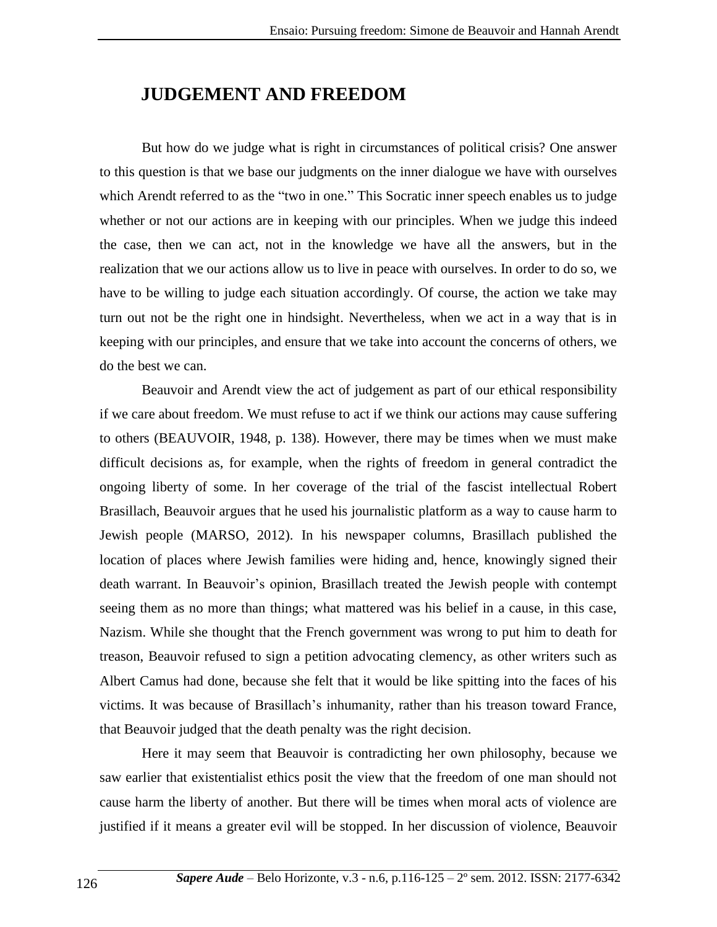### **JUDGEMENT AND FREEDOM**

But how do we judge what is right in circumstances of political crisis? One answer to this question is that we base our judgments on the inner dialogue we have with ourselves which Arendt referred to as the "two in one." This Socratic inner speech enables us to judge whether or not our actions are in keeping with our principles. When we judge this indeed the case, then we can act, not in the knowledge we have all the answers, but in the realization that we our actions allow us to live in peace with ourselves. In order to do so, we have to be willing to judge each situation accordingly. Of course, the action we take may turn out not be the right one in hindsight. Nevertheless, when we act in a way that is in keeping with our principles, and ensure that we take into account the concerns of others, we do the best we can.

Beauvoir and Arendt view the act of judgement as part of our ethical responsibility if we care about freedom. We must refuse to act if we think our actions may cause suffering to others (BEAUVOIR, 1948, p. 138). However, there may be times when we must make difficult decisions as, for example, when the rights of freedom in general contradict the ongoing liberty of some. In her coverage of the trial of the fascist intellectual Robert Brasillach, Beauvoir argues that he used his journalistic platform as a way to cause harm to Jewish people (MARSO, 2012). In his newspaper columns, Brasillach published the location of places where Jewish families were hiding and, hence, knowingly signed their death warrant. In Beauvoir's opinion, Brasillach treated the Jewish people with contempt seeing them as no more than things; what mattered was his belief in a cause, in this case, Nazism. While she thought that the French government was wrong to put him to death for treason, Beauvoir refused to sign a petition advocating clemency, as other writers such as Albert Camus had done, because she felt that it would be like spitting into the faces of his victims. It was because of Brasillach's inhumanity, rather than his treason toward France, that Beauvoir judged that the death penalty was the right decision.

Here it may seem that Beauvoir is contradicting her own philosophy, because we saw earlier that existentialist ethics posit the view that the freedom of one man should not cause harm the liberty of another. But there will be times when moral acts of violence are justified if it means a greater evil will be stopped. In her discussion of violence, Beauvoir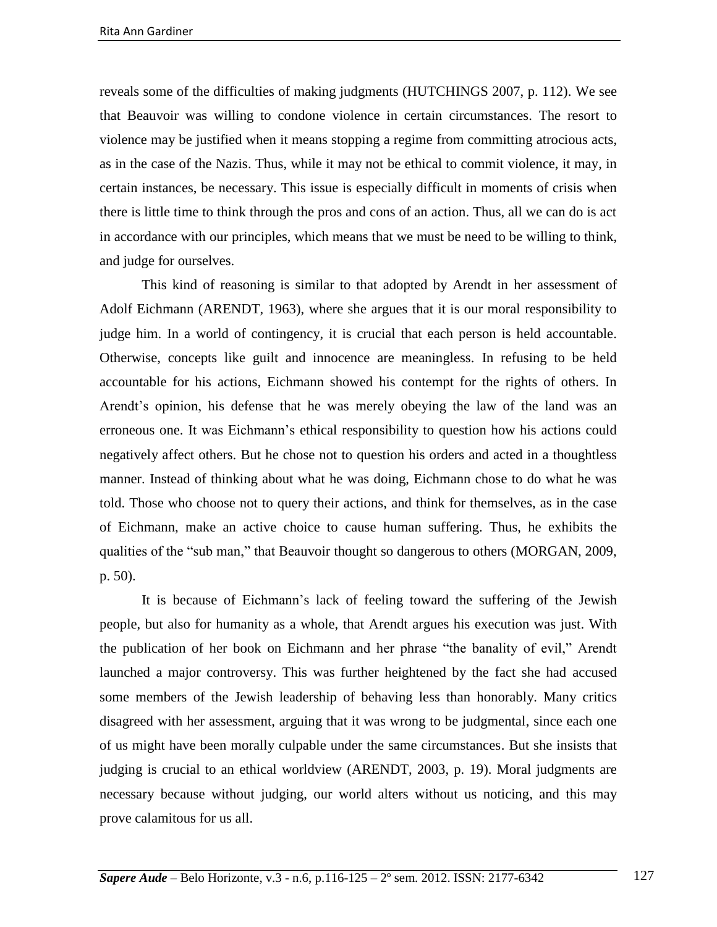reveals some of the difficulties of making judgments (HUTCHINGS 2007, p. 112). We see that Beauvoir was willing to condone violence in certain circumstances. The resort to violence may be justified when it means stopping a regime from committing atrocious acts, as in the case of the Nazis. Thus, while it may not be ethical to commit violence, it may, in certain instances, be necessary. This issue is especially difficult in moments of crisis when there is little time to think through the pros and cons of an action. Thus, all we can do is act in accordance with our principles, which means that we must be need to be willing to think, and judge for ourselves.

This kind of reasoning is similar to that adopted by Arendt in her assessment of Adolf Eichmann (ARENDT, 1963), where she argues that it is our moral responsibility to judge him. In a world of contingency, it is crucial that each person is held accountable. Otherwise, concepts like guilt and innocence are meaningless. In refusing to be held accountable for his actions, Eichmann showed his contempt for the rights of others. In Arendt's opinion, his defense that he was merely obeying the law of the land was an erroneous one. It was Eichmann's ethical responsibility to question how his actions could negatively affect others. But he chose not to question his orders and acted in a thoughtless manner. Instead of thinking about what he was doing, Eichmann chose to do what he was told. Those who choose not to query their actions, and think for themselves, as in the case of Eichmann, make an active choice to cause human suffering. Thus, he exhibits the qualities of the "sub man," that Beauvoir thought so dangerous to others (MORGAN, 2009, p. 50).

It is because of Eichmann's lack of feeling toward the suffering of the Jewish people, but also for humanity as a whole, that Arendt argues his execution was just. With the publication of her book on Eichmann and her phrase "the banality of evil," Arendt launched a major controversy. This was further heightened by the fact she had accused some members of the Jewish leadership of behaving less than honorably. Many critics disagreed with her assessment, arguing that it was wrong to be judgmental, since each one of us might have been morally culpable under the same circumstances. But she insists that judging is crucial to an ethical worldview (ARENDT, 2003, p. 19). Moral judgments are necessary because without judging, our world alters without us noticing, and this may prove calamitous for us all.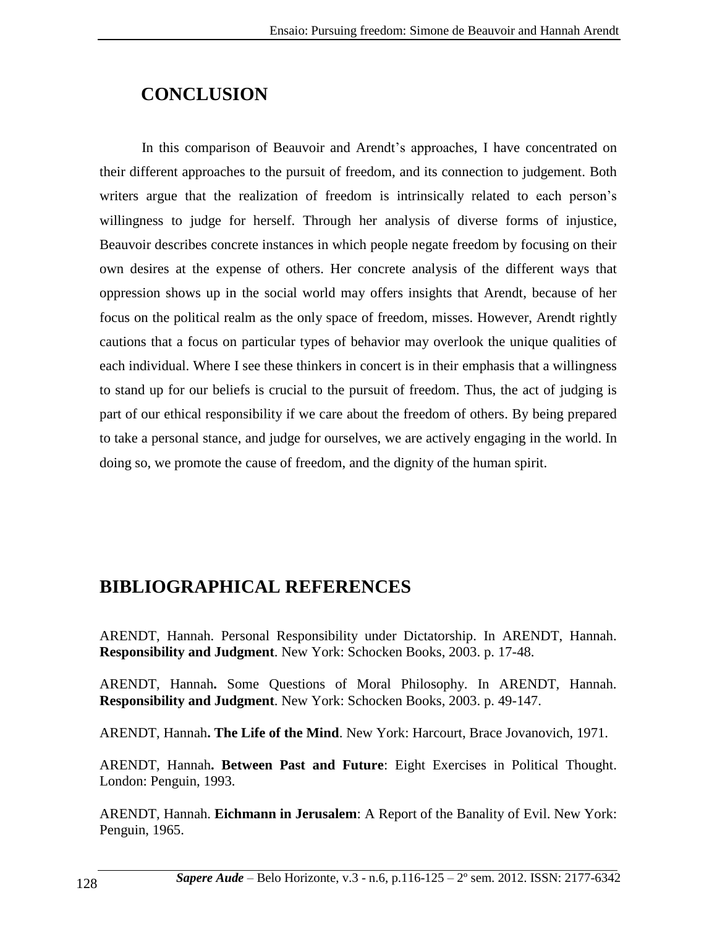# **CONCLUSION**

In this comparison of Beauvoir and Arendt's approaches, I have concentrated on their different approaches to the pursuit of freedom, and its connection to judgement. Both writers argue that the realization of freedom is intrinsically related to each person's willingness to judge for herself. Through her analysis of diverse forms of injustice, Beauvoir describes concrete instances in which people negate freedom by focusing on their own desires at the expense of others. Her concrete analysis of the different ways that oppression shows up in the social world may offers insights that Arendt, because of her focus on the political realm as the only space of freedom, misses. However, Arendt rightly cautions that a focus on particular types of behavior may overlook the unique qualities of each individual. Where I see these thinkers in concert is in their emphasis that a willingness to stand up for our beliefs is crucial to the pursuit of freedom. Thus, the act of judging is part of our ethical responsibility if we care about the freedom of others. By being prepared to take a personal stance, and judge for ourselves, we are actively engaging in the world. In doing so, we promote the cause of freedom, and the dignity of the human spirit.

# **BIBLIOGRAPHICAL REFERENCES**

ARENDT, Hannah. Personal Responsibility under Dictatorship. In ARENDT, Hannah. **Responsibility and Judgment**. New York: Schocken Books, 2003. p. 17-48.

ARENDT, Hannah**.** Some Questions of Moral Philosophy. In ARENDT, Hannah. **Responsibility and Judgment**. New York: Schocken Books, 2003. p. 49-147.

ARENDT, Hannah**. The Life of the Mind**. New York: Harcourt, Brace Jovanovich, 1971.

ARENDT, Hannah**. Between Past and Future**: Eight Exercises in Political Thought. London: Penguin, 1993.

ARENDT, Hannah. **Eichmann in Jerusalem**: A Report of the Banality of Evil. New York: Penguin, 1965.